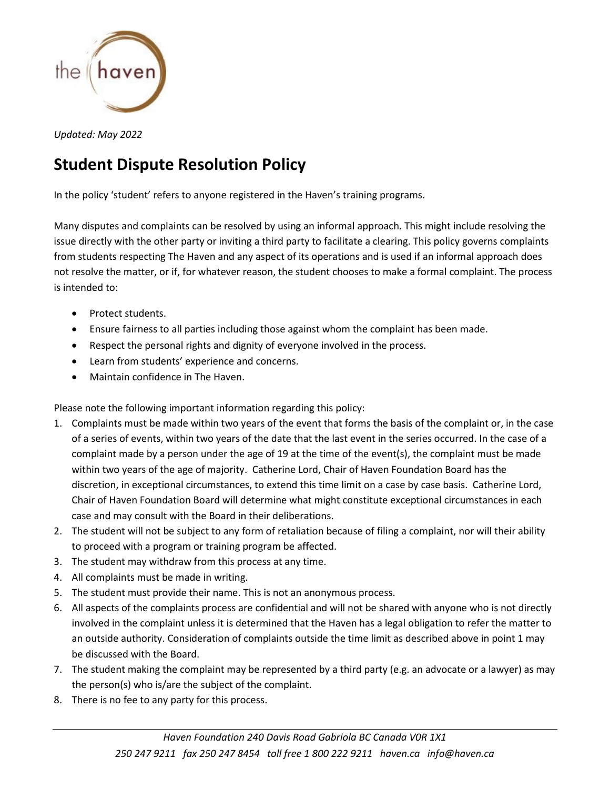

*Updated: May 2022*

## **Student Dispute Resolution Policy**

In the policy 'student' refers to anyone registered in the Haven's training programs.

Many disputes and complaints can be resolved by using an informal approach. This might include resolving the issue directly with the other party or inviting a third party to facilitate a clearing. This policy governs complaints from students respecting The Haven and any aspect of its operations and is used if an informal approach does not resolve the matter, or if, for whatever reason, the student chooses to make a formal complaint. The process is intended to:

- Protect students.
- Ensure fairness to all parties including those against whom the complaint has been made.
- Respect the personal rights and dignity of everyone involved in the process.
- Learn from students' experience and concerns.
- Maintain confidence in The Haven.

Please note the following important information regarding this policy:

- 1. Complaints must be made within two years of the event that forms the basis of the complaint or, in the case of a series of events, within two years of the date that the last event in the series occurred. In the case of a complaint made by a person under the age of 19 at the time of the event(s), the complaint must be made within two years of the age of majority. Catherine Lord, Chair of Haven Foundation Board has the discretion, in exceptional circumstances, to extend this time limit on a case by case basis. Catherine Lord, Chair of Haven Foundation Board will determine what might constitute exceptional circumstances in each case and may consult with the Board in their deliberations.
- 2. The student will not be subject to any form of retaliation because of filing a complaint, nor will their ability to proceed with a program or training program be affected.
- 3. The student may withdraw from this process at any time.
- 4. All complaints must be made in writing.
- 5. The student must provide their name. This is not an anonymous process.
- 6. All aspects of the complaints process are confidential and will not be shared with anyone who is not directly involved in the complaint unless it is determined that the Haven has a legal obligation to refer the matter to an outside authority. Consideration of complaints outside the time limit as described above in point 1 may be discussed with the Board.
- 7. The student making the complaint may be represented by a third party (e.g. an advocate or a lawyer) as may the person(s) who is/are the subject of the complaint.
- 8. There is no fee to any party for this process.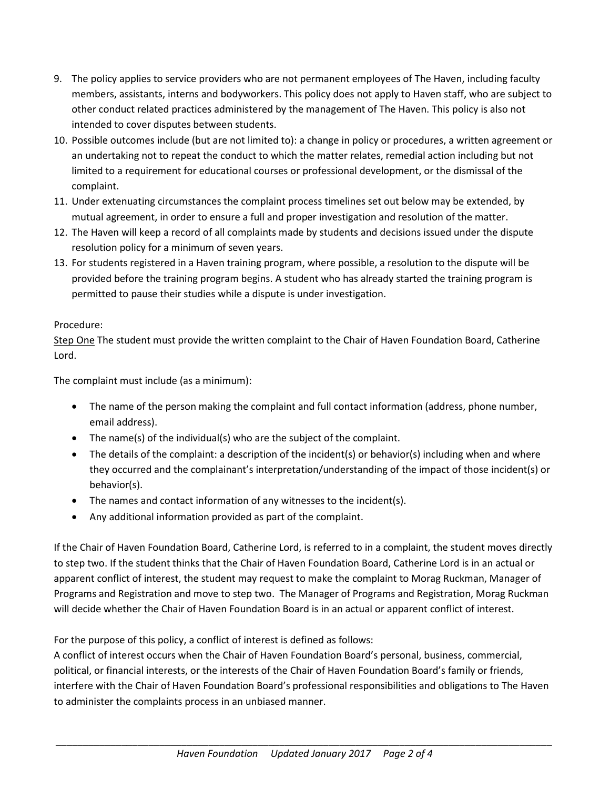- 9. The policy applies to service providers who are not permanent employees of The Haven, including faculty members, assistants, interns and bodyworkers. This policy does not apply to Haven staff, who are subject to other conduct related practices administered by the management of The Haven. This policy is also not intended to cover disputes between students.
- 10. Possible outcomes include (but are not limited to): a change in policy or procedures, a written agreement or an undertaking not to repeat the conduct to which the matter relates, remedial action including but not limited to a requirement for educational courses or professional development, or the dismissal of the complaint.
- 11. Under extenuating circumstances the complaint process timelines set out below may be extended, by mutual agreement, in order to ensure a full and proper investigation and resolution of the matter.
- 12. The Haven will keep a record of all complaints made by students and decisions issued under the dispute resolution policy for a minimum of seven years.
- 13. For students registered in a Haven training program, where possible, a resolution to the dispute will be provided before the training program begins. A student who has already started the training program is permitted to pause their studies while a dispute is under investigation.

## Procedure:

Step One The student must provide the written complaint to the Chair of Haven Foundation Board, Catherine Lord.

The complaint must include (as a minimum):

- The name of the person making the complaint and full contact information (address, phone number, email address).
- The name(s) of the individual(s) who are the subject of the complaint.
- The details of the complaint: a description of the incident(s) or behavior(s) including when and where they occurred and the complainant's interpretation/understanding of the impact of those incident(s) or behavior(s).
- The names and contact information of any witnesses to the incident(s).
- Any additional information provided as part of the complaint.

If the Chair of Haven Foundation Board, Catherine Lord, is referred to in a complaint, the student moves directly to step two. If the student thinks that the Chair of Haven Foundation Board, Catherine Lord is in an actual or apparent conflict of interest, the student may request to make the complaint to Morag Ruckman, Manager of Programs and Registration and move to step two. The Manager of Programs and Registration, Morag Ruckman will decide whether the Chair of Haven Foundation Board is in an actual or apparent conflict of interest.

For the purpose of this policy, a conflict of interest is defined as follows:

A conflict of interest occurs when the Chair of Haven Foundation Board's personal, business, commercial, political, or financial interests, or the interests of the Chair of Haven Foundation Board's family or friends, interfere with the Chair of Haven Foundation Board's professional responsibilities and obligations to The Haven to administer the complaints process in an unbiased manner.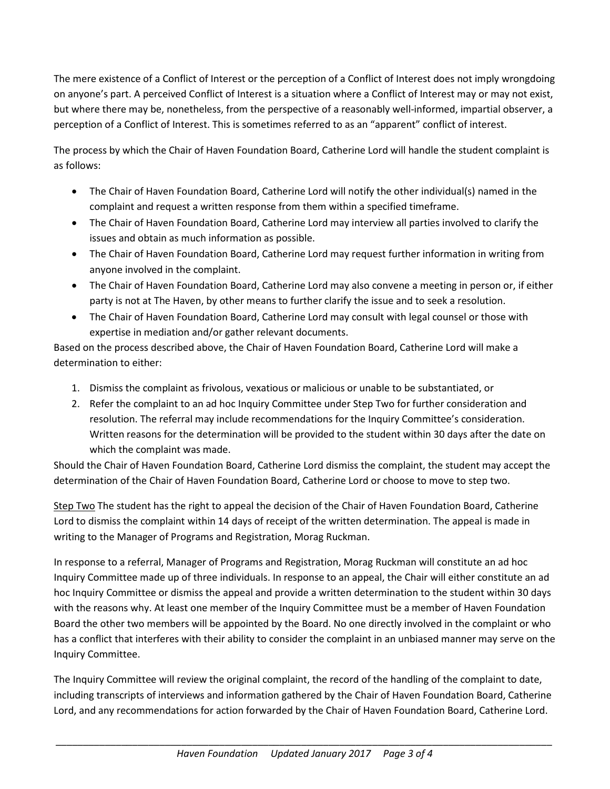The mere existence of a Conflict of Interest or the perception of a Conflict of Interest does not imply wrongdoing on anyone's part. A perceived Conflict of Interest is a situation where a Conflict of Interest may or may not exist, but where there may be, nonetheless, from the perspective of a reasonably well-informed, impartial observer, a perception of a Conflict of Interest. This is sometimes referred to as an "apparent" conflict of interest.

The process by which the Chair of Haven Foundation Board, Catherine Lord will handle the student complaint is as follows:

- The Chair of Haven Foundation Board, Catherine Lord will notify the other individual(s) named in the complaint and request a written response from them within a specified timeframe.
- The Chair of Haven Foundation Board, Catherine Lord may interview all parties involved to clarify the issues and obtain as much information as possible.
- The Chair of Haven Foundation Board, Catherine Lord may request further information in writing from anyone involved in the complaint.
- The Chair of Haven Foundation Board, Catherine Lord may also convene a meeting in person or, if either party is not at The Haven, by other means to further clarify the issue and to seek a resolution.
- The Chair of Haven Foundation Board, Catherine Lord may consult with legal counsel or those with expertise in mediation and/or gather relevant documents.

Based on the process described above, the Chair of Haven Foundation Board, Catherine Lord will make a determination to either:

- 1. Dismiss the complaint as frivolous, vexatious or malicious or unable to be substantiated, or
- 2. Refer the complaint to an ad hoc Inquiry Committee under Step Two for further consideration and resolution. The referral may include recommendations for the Inquiry Committee's consideration. Written reasons for the determination will be provided to the student within 30 days after the date on which the complaint was made.

Should the Chair of Haven Foundation Board, Catherine Lord dismiss the complaint, the student may accept the determination of the Chair of Haven Foundation Board, Catherine Lord or choose to move to step two.

Step Two The student has the right to appeal the decision of the Chair of Haven Foundation Board, Catherine Lord to dismiss the complaint within 14 days of receipt of the written determination. The appeal is made in writing to the Manager of Programs and Registration, Morag Ruckman.

In response to a referral, Manager of Programs and Registration, Morag Ruckman will constitute an ad hoc Inquiry Committee made up of three individuals. In response to an appeal, the Chair will either constitute an ad hoc Inquiry Committee or dismiss the appeal and provide a written determination to the student within 30 days with the reasons why. At least one member of the Inquiry Committee must be a member of Haven Foundation Board the other two members will be appointed by the Board. No one directly involved in the complaint or who has a conflict that interferes with their ability to consider the complaint in an unbiased manner may serve on the Inquiry Committee.

The Inquiry Committee will review the original complaint, the record of the handling of the complaint to date, including transcripts of interviews and information gathered by the Chair of Haven Foundation Board, Catherine Lord, and any recommendations for action forwarded by the Chair of Haven Foundation Board, Catherine Lord.